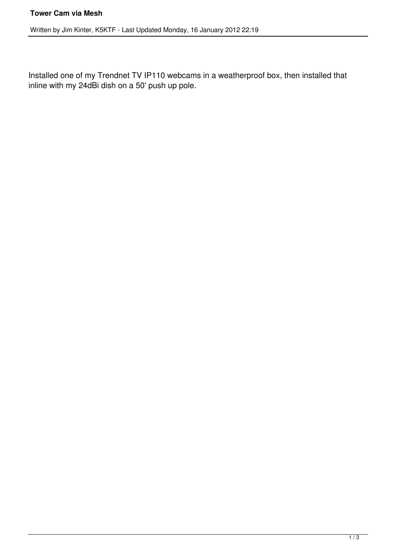Installed one of my Trendnet TV IP110 webcams in a weatherproof box, then installed that inline with my 24dBi dish on a 50' push up pole.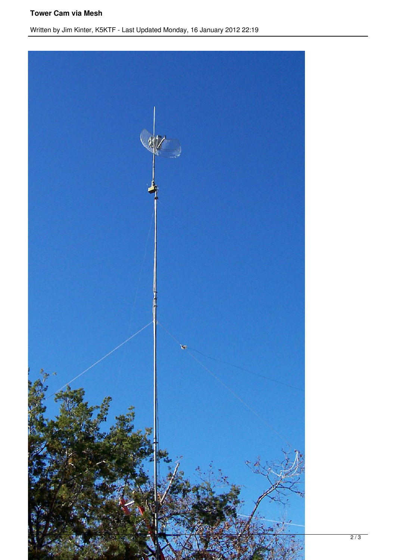## **Tower Cam via Mesh**

Written by Jim Kinter, K5KTF - Last Updated Monday, 16 January 2012 22:19